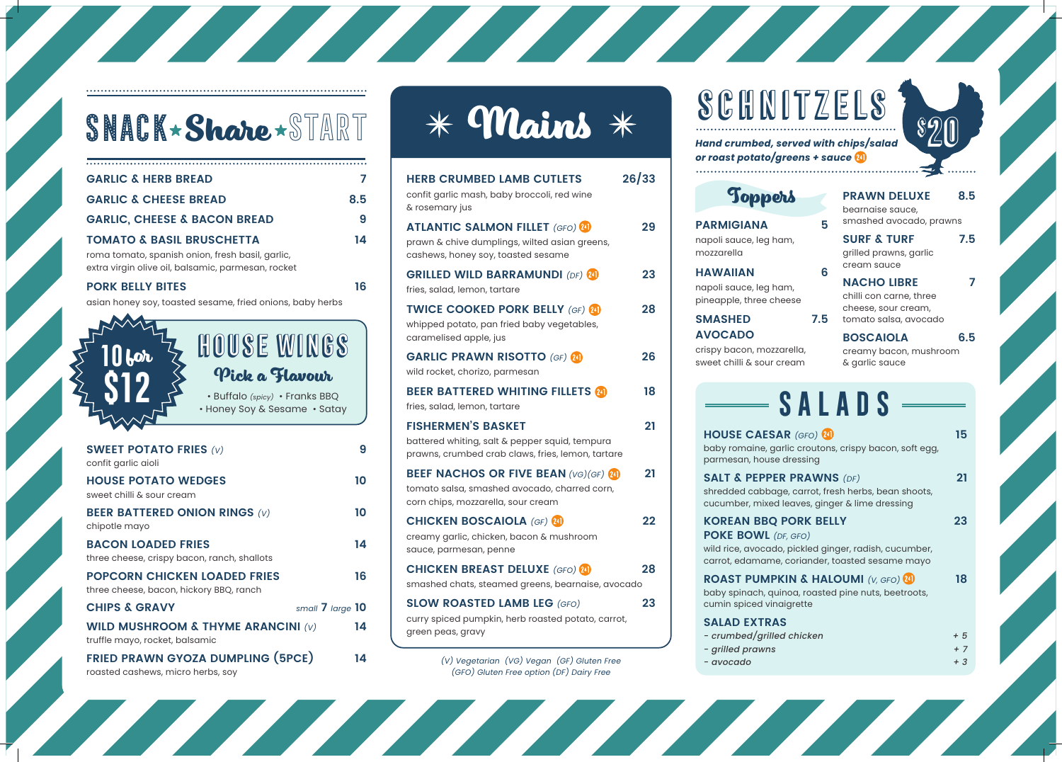

| $\boldsymbol{b}$ |  |
|------------------|--|
|                  |  |
|                  |  |

| AD<br>READ                                                                       | 7<br>8.5 | <b>HERB CRUMBED LAMB CUTLETS</b><br>confit garlic mash, baby broccoli, red wine<br>& rosemary jus                                                      | 26/33    | Toppers                                                                                                                                                                                                                                          | <b>PRAWN DE</b><br>bearnaise sau                                          |
|----------------------------------------------------------------------------------|----------|--------------------------------------------------------------------------------------------------------------------------------------------------------|----------|--------------------------------------------------------------------------------------------------------------------------------------------------------------------------------------------------------------------------------------------------|---------------------------------------------------------------------------|
| <b>ACON BREAD</b><br><b>USCHETTA</b><br>on, fresh basil, garlic,                 | 9<br>14  | <b>ATLANTIC SALMON FILLET (GFO) 20</b><br>prawn & chive dumplings, wilted asian greens,<br>cashews, honey soy, toasted sesame                          | 29       | <b>PARMIGIANA</b><br>napoli sauce, leg ham,<br>mozzarella                                                                                                                                                                                        | smashed avo<br>5<br><b>SURF &amp; TUI</b><br>grilled prawns               |
| mic, parmesan, rocket                                                            | 16       | <b>GRILLED WILD BARRAMUNDI (DF) 24)</b><br>fries, salad, lemon, tartare                                                                                | 23       | <b>HAWAIIAN</b><br>napoli sauce, leg ham,<br>pineapple, three cheese                                                                                                                                                                             | cream sauce<br>6<br><b>NACHO LIB</b><br>chilli con carn                   |
| sesame, fried onions, baby herbs<br>HOUSE WINGS                                  |          | <b>TWICE COOKED PORK BELLY (GF) 24</b><br>whipped potato, pan fried baby vegetables,<br>caramelised apple, jus<br><b>GARLIC PRAWN RISOTTO (GF) 24)</b> | 28<br>26 | <b>SMASHED</b><br><b>AVOCADO</b><br>crispy bacon, mozzarella,                                                                                                                                                                                    | cheese, sour o<br>7.5<br>tomato salsa,<br><b>BOSCAIOL</b><br>creamy bacor |
| Pick a Flavour<br>• Buffalo (spicy) • Franks BBQ<br>• Honey Soy & Sesame • Satay |          | wild rocket, chorizo, parmesan<br><b>BEER BATTERED WHITING FILLETS 20</b><br>fries, salad, lemon, tartare                                              | 18       | sweet chilli & sour cream<br>$\longrightarrow$ SALADS                                                                                                                                                                                            | & garlic sauce                                                            |
| S(v)                                                                             | 9        | <b>FISHERMEN'S BASKET</b><br>battered whiting, salt & pepper squid, tempura<br>prawns, crumbed crab claws, fries, lemon, tartare                       | 21       | <b>HOUSE CAESAR (GFO) 24)</b><br>baby romaine, garlic croutons, crispy bacon,<br>parmesan, house dressing                                                                                                                                        |                                                                           |
| <b>DGES</b>                                                                      | 10       | <b>BEEF NACHOS OR FIVE BEAN (VG)(GF) 24)</b><br>tomato salsa, smashed avocado, charred corn,<br>corn chips, mozzarella, sour cream                     | 21       | <b>SALT &amp; PEPPER PRAWNS (DF)</b><br>shredded cabbage, carrot, fresh herbs, bean<br>cucumber, mixed leaves, ginger & lime dressi                                                                                                              |                                                                           |
| ON RINGS $(V)$<br>ES<br>n, ranch, shallots                                       | 10<br>14 | <b>CHICKEN BOSCAIOLA (GF) 24)</b><br>creamy garlic, chicken, bacon & mushroom<br>sauce, parmesan, penne                                                | 22       | <b>KOREAN BBQ PORK BELLY</b><br><b>POKE BOWL</b> (DF, GFO)<br>wild rice, avocado, pickled ginger, radish, cuc                                                                                                                                    |                                                                           |
| <b>LOADED FRIES</b><br>ory BBQ, ranch                                            | 16       | <b>CHICKEN BREAST DELUXE (GFO) 20</b><br>smashed chats, steamed greens, bearnaise, avocado                                                             | 28       | carrot, edamame, coriander, toasted sesame<br><b>ROAST PUMPKIN &amp; HALOUMI</b> (V, GFO)<br>baby spinach, quinoa, roasted pine nuts, beet<br>cumin spiced vinaigrette<br><b>SALAD EXTRAS</b><br>- crumbed/grilled chicken<br>$=$ arilled prawns |                                                                           |
| small 7 large 10<br><b>THYME ARANCINI (v)</b><br>mic.                            | 14       | <b>SLOW ROASTED LAMB LEG (GFO)</b><br>curry spiced pumpkin, herb roasted potato, carrot,<br>green peas, gravy                                          | 23       |                                                                                                                                                                                                                                                  |                                                                           |

# SNACK **Share** START

| <b>SWEET POTATO FRIES (v)</b><br>confit garlic aioli                            | 9  |
|---------------------------------------------------------------------------------|----|
| <b>HOUSE POTATO WEDGES</b><br>sweet chilli & sour cream                         | 10 |
| <b>BEER BATTERED ONION RINGS (V)</b><br>chipotle mayo                           | 10 |
| <b>BACON LOADED FRIES</b><br>three cheese, crispy bacon, ranch, shallots        | 14 |
| <b>POPCORN CHICKEN LOADED FRIES</b><br>three cheese, bacon, hickory BBQ, ranch  | 16 |
| <b>CHIPS &amp; GRAVY</b><br>small 7 large 10                                    |    |
| <b>WILD MUSHROOM &amp; THYME ARANCINI (v)</b><br>truffle mayo, rocket, balsamic | 14 |
| <b>FRIED PRAWN GYOZA DUMPLING (5PCE)</b><br>roasted cashews, micro herbs, soy   | 14 |

| $*$ Mains $*$ |  |
|---------------|--|
|               |  |

- *crumbed/grilled chicken + 5*
- *grilled prawns + 7*
	-

*(V) Vegetarian (VG) Vegan (GF) Gluten Free - avocado + 3 (GFO) Gluten Free option (DF) Dairy Free*

**SCHN** 

\$20



#### **SMASHED 7.5 AVOCADO**

**PRAWN DELUXE 8.5**

bearnaise sauce, smashed avocado, prawns **SURF & TURF 7.5** grilled prawns, garlic cream sauce **NACHO LIBRE 7** chilli con carne, three cheese, sour cream,

tomato salsa, avocado **BOSCAIOLA 6.5**

#### creamy bacon, mushroom & garlic sauce

| <b>AR</b> (GFO) 24)<br>arlic croutons, crispy bacon, soft egg,<br>e dressing                               | 15                  |
|------------------------------------------------------------------------------------------------------------|---------------------|
| <b>R PRAWNS</b> (DF)<br>ge, carrot, fresh herbs, bean shoots,<br>d leaves, ginger & lime dressing          | 21                  |
| <b>PORK BELLY</b><br>DF, GFO)<br>o, pickled ginger, radish, cucumber,<br>e, coriander, toasted sesame mayo | 23                  |
| KIN & HALOUMI (V, GFO) 21<br>iinoa, roasted pine nuts, beetroots,<br>aigrette                              | 18                  |
| <b>S</b><br>ed chicken                                                                                     | $+5$<br>$+7$<br>+ 3 |